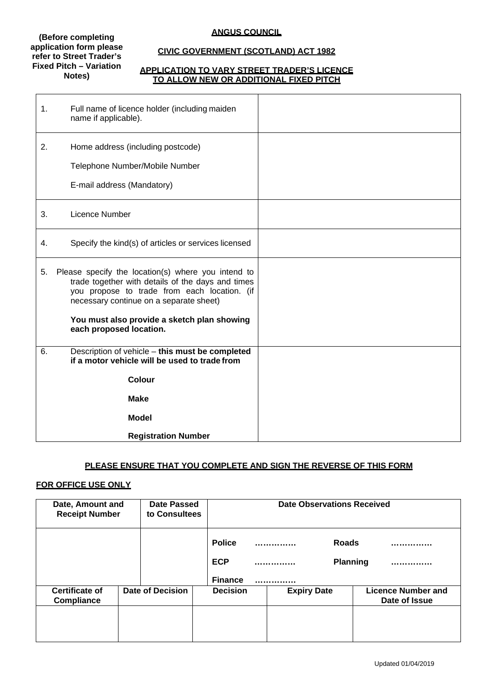#### **(Before completing application form please refer to Street Trader's Fixed Pitch – Variation Notes)**

# **ANGUS COUNCIL**

# **CIVIC GOVERNMENT (SCOTLAND) ACT 1982**

## **APPLICATION TO VARY STREET TRADER'S LICENCE TO ALLOW NEW OR ADDITIONAL FIXED PITCH**

| 1. | Full name of licence holder (including maiden<br>name if applicable).                                                                                                                              |  |
|----|----------------------------------------------------------------------------------------------------------------------------------------------------------------------------------------------------|--|
| 2. | Home address (including postcode)<br>Telephone Number/Mobile Number<br>E-mail address (Mandatory)                                                                                                  |  |
| 3. | Licence Number                                                                                                                                                                                     |  |
| 4. | Specify the kind(s) of articles or services licensed                                                                                                                                               |  |
| 5. | Please specify the location(s) where you intend to<br>trade together with details of the days and times<br>you propose to trade from each location. (if<br>necessary continue on a separate sheet) |  |
|    | You must also provide a sketch plan showing<br>each proposed location.                                                                                                                             |  |
| 6. | Description of vehicle - this must be completed<br>if a motor vehicle will be used to trade from                                                                                                   |  |
|    | Colour                                                                                                                                                                                             |  |
|    | <b>Make</b>                                                                                                                                                                                        |  |
|    | <b>Model</b>                                                                                                                                                                                       |  |
|    | <b>Registration Number</b>                                                                                                                                                                         |  |

# **PLEASE ENSURE THAT YOU COMPLETE AND SIGN THE REVERSE OF THIS FORM**

# **FOR OFFICE USE ONLY**

| Date, Amount and<br><b>Receipt Number</b>  |  | <b>Date Passed</b><br>to Consultees |                                               | <b>Date Observations Received</b> |                    |                                 |  |                                            |
|--------------------------------------------|--|-------------------------------------|-----------------------------------------------|-----------------------------------|--------------------|---------------------------------|--|--------------------------------------------|
|                                            |  |                                     | <b>Police</b><br><b>ECP</b><br><b>Finance</b> |                                   | <br>.              | <b>Roads</b><br><b>Planning</b> |  |                                            |
| <b>Certificate of</b><br><b>Compliance</b> |  | <b>Date of Decision</b>             | <b>Decision</b>                               |                                   | <b>Expiry Date</b> |                                 |  | <b>Licence Number and</b><br>Date of Issue |
|                                            |  |                                     |                                               |                                   |                    |                                 |  |                                            |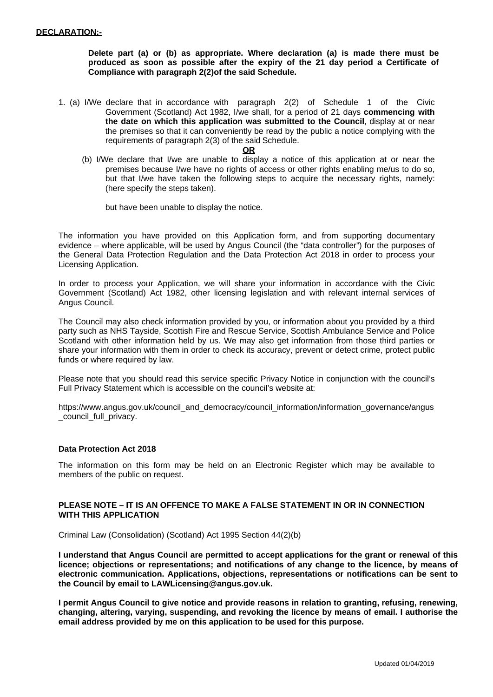**Delete part (a) or (b) as appropriate. Where declaration (a) is made there must be produced as soon as possible after the expiry of the 21 day period a Certificate of Compliance with paragraph 2(2)of the said Schedule.**

1. (a) I/We declare that in accordance with paragraph 2(2) of Schedule 1 of the Civic Government (Scotland) Act 1982, I/we shall, for a period of 21 days **commencing with the date on which this application was submitted to the Council**, display at or near the premises so that it can conveniently be read by the public a notice complying with the requirements of paragraph 2(3) of the said Schedule.

#### **OR**

(b) I/We declare that I/we are unable to display a notice of this application at or near the premises because I/we have no rights of access or other rights enabling me/us to do so, but that I/we have taken the following steps to acquire the necessary rights, namely: (here specify the steps taken).

but have been unable to display the notice.

The information you have provided on this Application form, and from supporting documentary evidence – where applicable, will be used by Angus Council (the "data controller") for the purposes of the General Data Protection Regulation and the Data Protection Act 2018 in order to process your Licensing Application.

In order to process your Application, we will share your information in accordance with the Civic Government (Scotland) Act 1982, other licensing legislation and with relevant internal services of Angus Council.

The Council may also check information provided by you, or information about you provided by a third party such as NHS Tayside, Scottish Fire and Rescue Service, Scottish Ambulance Service and Police Scotland with other information held by us. We may also get information from those third parties or share your information with them in order to check its accuracy, prevent or detect crime, protect public funds or where required by law.

Please note that you should read this service specific Privacy Notice in conjunction with the council's Full Privacy Statement which is accessible on the council's website at:

[https://www.angus.gov.uk/c](http://www.angus.gov.uk/council_and_democracy/council_information/information_governance/angus)ounc[il\\_and\\_democracy/council\\_information/information\\_governance/angus](http://www.angus.gov.uk/council_and_democracy/council_information/information_governance/angus) \_council\_full\_privacy.

## **Data Protection Act 2018**

The information on this form may be held on an Electronic Register which may be available to members of the public on request.

## **PLEASE NOTE – IT IS AN OFFENCE TO MAKE A FALSE STATEMENT IN OR IN CONNECTION WITH THIS APPLICATION**

Criminal Law (Consolidation) (Scotland) Act 1995 Section 44(2)(b)

**I understand that Angus Council are permitted to accept applications for the grant or renewal of this licence; objections or representations; and notifications of any change to the licence, by means of electronic communication. Applications, objections, representations or notifications can be sent to the Council by email to [LAWLicensing@angus.gov.uk.](mailto:LAWLicensing@angus.gov.uk)**

**I permit Angus Council to give notice and provide reasons in relation to granting, refusing, renewing, changing, altering, varying, suspending, and revoking the licence by means of email. I authorise the email address provided by me on this application to be used for this purpose.**